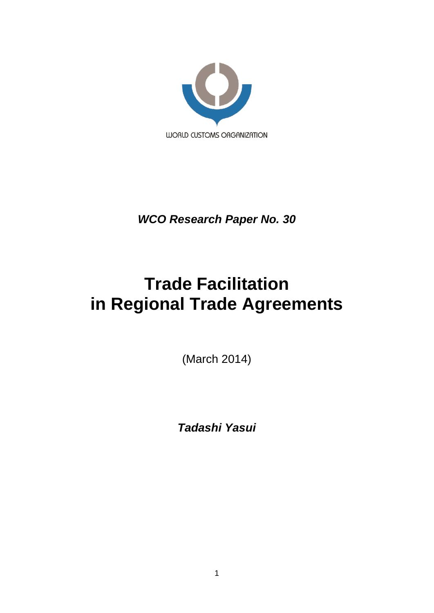

*WCO Research Paper No. 30*

# **Trade Facilitation in Regional Trade Agreements**

(March 2014)

*Tadashi Yasui*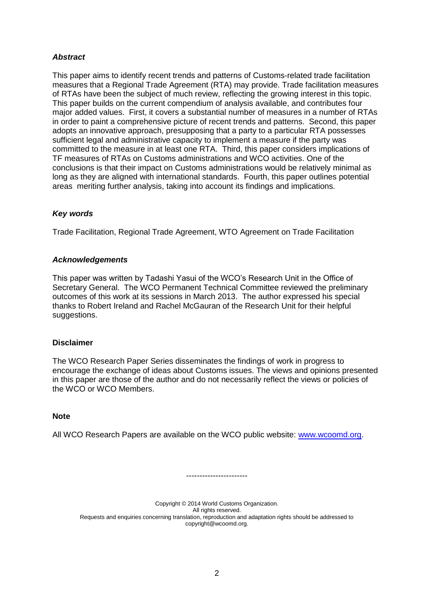# *Abstract*

This paper aims to identify recent trends and patterns of Customs-related trade facilitation measures that a Regional Trade Agreement (RTA) may provide. Trade facilitation measures of RTAs have been the subject of much review, reflecting the growing interest in this topic. This paper builds on the current compendium of analysis available, and contributes four major added values. First, it covers a substantial number of measures in a number of RTAs in order to paint a comprehensive picture of recent trends and patterns. Second, this paper adopts an innovative approach, presupposing that a party to a particular RTA possesses sufficient legal and administrative capacity to implement a measure if the party was committed to the measure in at least one RTA. Third, this paper considers implications of TF measures of RTAs on Customs administrations and WCO activities. One of the conclusions is that their impact on Customs administrations would be relatively minimal as long as they are aligned with international standards. Fourth, this paper outlines potential areas meriting further analysis, taking into account its findings and implications.

# *Key words*

Trade Facilitation, Regional Trade Agreement, WTO Agreement on Trade Facilitation

## *Acknowledgements*

This paper was written by Tadashi Yasui of the WCO"s Research Unit in the Office of Secretary General. The WCO Permanent Technical Committee reviewed the preliminary outcomes of this work at its sessions in March 2013. The author expressed his special thanks to Robert Ireland and Rachel McGauran of the Research Unit for their helpful suggestions.

#### **Disclaimer**

The WCO Research Paper Series disseminates the findings of work in progress to encourage the exchange of ideas about Customs issues. The views and opinions presented in this paper are those of the author and do not necessarily reflect the views or policies of the WCO or WCO Members.

#### **Note**

All WCO Research Papers are available on the WCO public website: [www.wcoomd.org.](http://www.wcoomd.org/)

Copyright © 2014 World Customs Organization. All rights reserved. Requests and enquiries concerning translation, reproduction and adaptation rights should be addressed to copyright@wcoomd.org.

-----------------------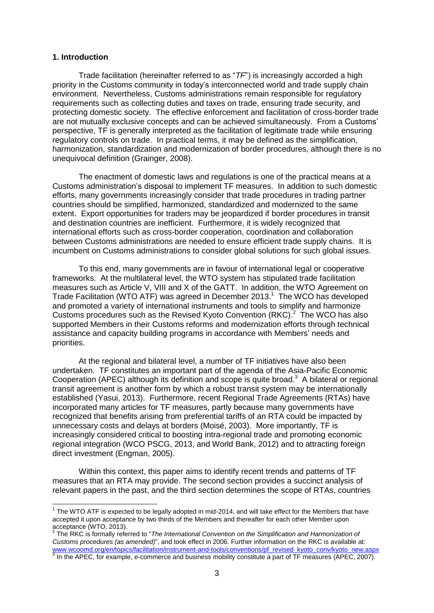#### **1. Introduction**

Trade facilitation (hereinafter referred to as "*TF*") is increasingly accorded a high priority in the Customs community in today"s interconnected world and trade supply chain environment. Nevertheless, Customs administrations remain responsible for regulatory requirements such as collecting duties and taxes on trade, ensuring trade security, and protecting domestic society. The effective enforcement and facilitation of cross-border trade are not mutually exclusive concepts and can be achieved simultaneously. From a Customs" perspective, TF is generally interpreted as the facilitation of legitimate trade while ensuring regulatory controls on trade. In practical terms, it may be defined as the simplification, harmonization, standardization and modernization of border procedures, although there is no unequivocal definition (Grainger, 2008).

The enactment of domestic laws and regulations is one of the practical means at a Customs administration"s disposal to implement TF measures. In addition to such domestic efforts, many governments increasingly consider that trade procedures in trading partner countries should be simplified, harmonized, standardized and modernized to the same extent. Export opportunities for traders may be jeopardized if border procedures in transit and destination countries are inefficient. Furthermore, it is widely recognized that international efforts such as cross-border cooperation, coordination and collaboration between Customs administrations are needed to ensure efficient trade supply chains. It is incumbent on Customs administrations to consider global solutions for such global issues.

To this end, many governments are in favour of international legal or cooperative frameworks. At the multilateral level, the WTO system has stipulated trade facilitation measures such as Article V, VIII and X of the GATT. In addition, the WTO Agreement on Trade Facilitation (WTO ATF) was agreed in December 2013. 1 The WCO has developed and promoted a variety of international instruments and tools to simplify and harmonize Customs procedures such as the Revised Kyoto Convention  $(RKC)<sup>2</sup>$  The WCO has also supported Members in their Customs reforms and modernization efforts through technical assistance and capacity building programs in accordance with Members" needs and priorities.

At the regional and bilateral level, a number of TF initiatives have also been undertaken. TF constitutes an important part of the agenda of the Asia-Pacific Economic Cooperation (APEC) although its definition and scope is quite broad.<sup>3</sup> A bilateral or regional transit agreement is another form by which a robust transit system may be internationally established (Yasui, 2013). Furthermore, recent Regional Trade Agreements (RTAs) have incorporated many articles for TF measures, partly because many governments have recognized that benefits arising from preferential tariffs of an RTA could be impacted by unnecessary costs and delays at borders (Moisé, 2003). More importantly, TF is increasingly considered critical to boosting intra-regional trade and promoting economic regional integration (WCO PSCG, 2013, and World Bank, 2012) and to attracting foreign direct investment (Engman, 2005).

Within this context, this paper aims to identify recent trends and patterns of TF measures that an RTA may provide. The second section provides a succinct analysis of relevant papers in the past, and the third section determines the scope of RTAs, countries

 1 The WTO ATF is expected to be legally adopted in mid-2014, and will take effect for the Members that have accepted it upon acceptance by two thirds of the Members and thereafter for each other Member upon

acceptance (WTO, 2013).<br><sup>2</sup> The RKC is formally referred to "*The International Convention on the Simplification and Harmonization of Customs procedures (as amended)*", and took effect in 2006. Further information on the RKC is available at: [www.wcoomd.org/en/topics/facilitation/instrument-and-tools/conventions/pf\\_revised\\_kyoto\\_conv/kyoto\\_new.aspx](http://www.wcoomd.org/en/topics/facilitation/instrument-and-tools/conventions/pf_revised_kyoto_conv/kyoto_new.aspx)<br><sup>3</sup> In the APEC, for example, e-commerce and business mobility constitute a part of TF measures (APEC, 2007).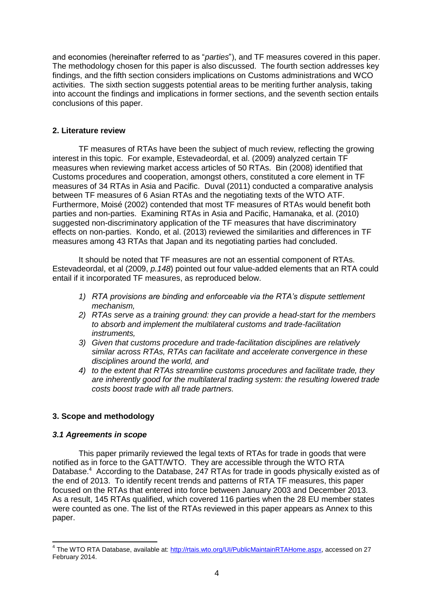and economies (hereinafter referred to as "*parties*"), and TF measures covered in this paper. The methodology chosen for this paper is also discussed. The fourth section addresses key findings, and the fifth section considers implications on Customs administrations and WCO activities. The sixth section suggests potential areas to be meriting further analysis, taking into account the findings and implications in former sections, and the seventh section entails conclusions of this paper.

# **2. Literature review**

TF measures of RTAs have been the subject of much review, reflecting the growing interest in this topic. For example, Estevadeordal, et al. (2009) analyzed certain TF measures when reviewing market access articles of 50 RTAs. Bin (2008) identified that Customs procedures and cooperation, amongst others, constituted a core element in TF measures of 34 RTAs in Asia and Pacific. Duval (2011) conducted a comparative analysis between TF measures of 6 Asian RTAs and the negotiating texts of the WTO ATF. Furthermore, Moisé (2002) contended that most TF measures of RTAs would benefit both parties and non-parties. Examining RTAs in Asia and Pacific, Hamanaka, et al. (2010) suggested non-discriminatory application of the TF measures that have discriminatory effects on non-parties. Kondo, et al. (2013) reviewed the similarities and differences in TF measures among 43 RTAs that Japan and its negotiating parties had concluded.

It should be noted that TF measures are not an essential component of RTAs. Estevadeordal, et al (2009, *p.148*) pointed out four value-added elements that an RTA could entail if it incorporated TF measures, as reproduced below.

- *1) RTA provisions are binding and enforceable via the RTA's dispute settlement mechanism,*
- *2) RTAs serve as a training ground: they can provide a head-start for the members to absorb and implement the multilateral customs and trade-facilitation instruments,*
- *3) Given that customs procedure and trade-facilitation disciplines are relatively similar across RTAs, RTAs can facilitate and accelerate convergence in these disciplines around the world, and*
- *4) to the extent that RTAs streamline customs procedures and facilitate trade, they are inherently good for the multilateral trading system: the resulting lowered trade costs boost trade with all trade partners.*

# **3. Scope and methodology**

#### *3.1 Agreements in scope*

 $\overline{a}$ 

This paper primarily reviewed the legal texts of RTAs for trade in goods that were notified as in force to the GATT/WTO. They are accessible through the WTO RTA Database.<sup>4</sup> According to the Database, 247 RTAs for trade in goods physically existed as of the end of 2013. To identify recent trends and patterns of RTA TF measures, this paper focused on the RTAs that entered into force between January 2003 and December 2013. As a result, 145 RTAs qualified, which covered 116 parties when the 28 EU member states were counted as one. The list of the RTAs reviewed in this paper appears as Annex to this paper.

<sup>&</sup>lt;sup>4</sup> The WTO RTA Database, available at: [http://rtais.wto.org/UI/PublicMaintainRTAHome.aspx,](http://rtais.wto.org/UI/PublicMaintainRTAHome.aspx) accessed on 27 February 2014.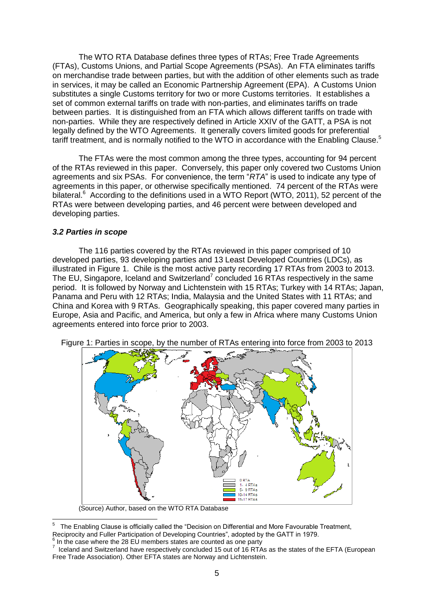The WTO RTA Database defines three types of RTAs; Free Trade Agreements (FTAs), Customs Unions, and Partial Scope Agreements (PSAs). An FTA eliminates tariffs on merchandise trade between parties, but with the addition of other elements such as trade in services, it may be called an Economic Partnership Agreement (EPA). A Customs Union substitutes a single Customs territory for two or more Customs territories. It establishes a set of common external tariffs on trade with non-parties, and eliminates tariffs on trade between parties. It is distinguished from an FTA which allows different tariffs on trade with non-parties. While they are respectively defined in Article XXIV of the GATT, a PSA is not legally defined by the WTO Agreements. It generally covers limited goods for preferential tariff treatment, and is normally notified to the WTO in accordance with the Enabling Clause.<sup>5</sup>

The FTAs were the most common among the three types, accounting for 94 percent of the RTAs reviewed in this paper. Conversely, this paper only covered two Customs Union agreements and six PSAs. For convenience, the term "*RTA*" is used to indicate any type of agreements in this paper, or otherwise specifically mentioned. 74 percent of the RTAs were bilateral.<sup>6</sup> According to the definitions used in a WTO Report (WTO, 2011), 52 percent of the RTAs were between developing parties, and 46 percent were between developed and developing parties.

## *3.2 Parties in scope*

The 116 parties covered by the RTAs reviewed in this paper comprised of 10 developed parties, 93 developing parties and 13 Least Developed Countries (LDCs), as illustrated in Figure 1. Chile is the most active party recording 17 RTAs from 2003 to 2013. The EU, Singapore, Iceland and Switzerland<sup>7</sup> concluded 16 RTAs respectively in the same period. It is followed by Norway and Lichtenstein with 15 RTAs; Turkey with 14 RTAs; Japan, Panama and Peru with 12 RTAs; India, Malaysia and the United States with 11 RTAs; and China and Korea with 9 RTAs. Geographically speaking, this paper covered many parties in Europe, Asia and Pacific, and America, but only a few in Africa where many Customs Union agreements entered into force prior to 2003.



Figure 1: Parties in scope, by the number of RTAs entering into force from 2003 to 2013

(Source) Author, based on the WTO RTA Database

 $\frac{1}{5}$  The Enabling Clause is officially called the "Decision on Differential and More Favourable Treatment, Reciprocity and Fuller Participation of Developing Countries", adopted by the GATT in 1979.

<sup>&</sup>lt;sup>6</sup> In the case where the 28 EU members states are counted as one party

 $^7$  Iceland and Switzerland have respectively concluded 15 out of 16 RTAs as the states of the EFTA (European Free Trade Association). Other EFTA states are Norway and Lichtenstein.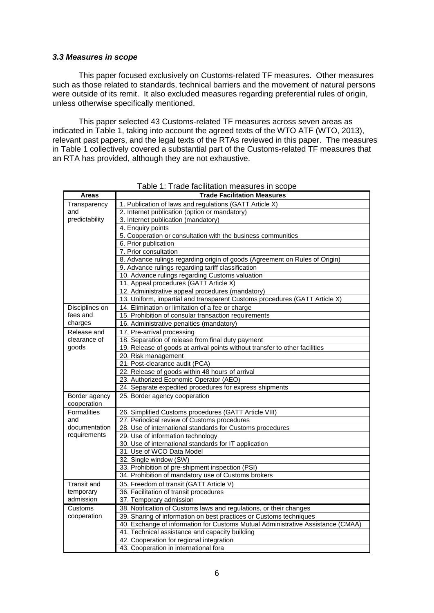#### *3.3 Measures in scope*

This paper focused exclusively on Customs-related TF measures. Other measures such as those related to standards, technical barriers and the movement of natural persons were outside of its remit. It also excluded measures regarding preferential rules of origin, unless otherwise specifically mentioned.

This paper selected 43 Customs-related TF measures across seven areas as indicated in Table 1, taking into account the agreed texts of the WTO ATF (WTO, 2013), relevant past papers, and the legal texts of the RTAs reviewed in this paper. The measures in Table 1 collectively covered a substantial part of the Customs-related TF measures that an RTA has provided, although they are not exhaustive.

| <b>Areas</b>                 | <b>Trade Facilitation Measures</b>                                              |
|------------------------------|---------------------------------------------------------------------------------|
| Transparency                 | 1. Publication of laws and regulations (GATT Article X)                         |
| and                          | 2. Internet publication (option or mandatory)                                   |
| predictability               | 3. Internet publication (mandatory)                                             |
|                              | 4. Enquiry points                                                               |
|                              | 5. Cooperation or consultation with the business communities                    |
|                              | 6. Prior publication                                                            |
|                              | 7. Prior consultation                                                           |
|                              | 8. Advance rulings regarding origin of goods (Agreement on Rules of Origin)     |
|                              | 9. Advance rulings regarding tariff classification                              |
|                              | 10. Advance rulings regarding Customs valuation                                 |
|                              | 11. Appeal procedures (GATT Article X)                                          |
|                              | 12. Administrative appeal procedures (mandatory)                                |
|                              | 13. Uniform, impartial and transparent Customs procedures (GATT Article X)      |
| Disciplines on               | 14. Elimination or limitation of a fee or charge                                |
| fees and                     | 15. Prohibition of consular transaction requirements                            |
| charges                      | 16. Administrative penalties (mandatory)                                        |
| Release and                  | 17. Pre-arrival processing                                                      |
| clearance of                 | 18. Separation of release from final duty payment                               |
| goods                        | 19. Release of goods at arrival points without transfer to other facilities     |
|                              | 20. Risk management                                                             |
|                              | 21. Post-clearance audit (PCA)                                                  |
|                              | 22. Release of goods within 48 hours of arrival                                 |
|                              | 23. Authorized Economic Operator (AEO)                                          |
|                              | 24. Separate expedited procedures for express shipments                         |
| Border agency<br>cooperation | 25. Border agency cooperation                                                   |
| <b>Formalities</b>           | 26. Simplified Customs procedures (GATT Article VIII)                           |
| and                          | 27. Periodical review of Customs procedures                                     |
| documentation                | 28. Use of international standards for Customs procedures                       |
| requirements                 | 29. Use of information technology                                               |
|                              | 30. Use of international standards for IT application                           |
|                              | 31. Use of WCO Data Model                                                       |
|                              | 32. Single window (SW)                                                          |
|                              | 33. Prohibition of pre-shipment inspection (PSI)                                |
|                              | 34. Prohibition of mandatory use of Customs brokers                             |
| <b>Transit and</b>           | 35. Freedom of transit (GATT Article V)                                         |
| temporary                    | 36. Facilitation of transit procedures                                          |
| admission                    | 37. Temporary admission                                                         |
| Customs                      | 38. Notification of Customs laws and regulations, or their changes              |
| cooperation                  | 39. Sharing of information on best practices or Customs techniques              |
|                              | 40. Exchange of information for Customs Mutual Administrative Assistance (CMAA) |
|                              | 41. Technical assistance and capacity building                                  |
|                              | 42. Cooperation for regional integration                                        |
|                              | 43. Cooperation in international fora                                           |

Table 1: Trade facilitation measures in scope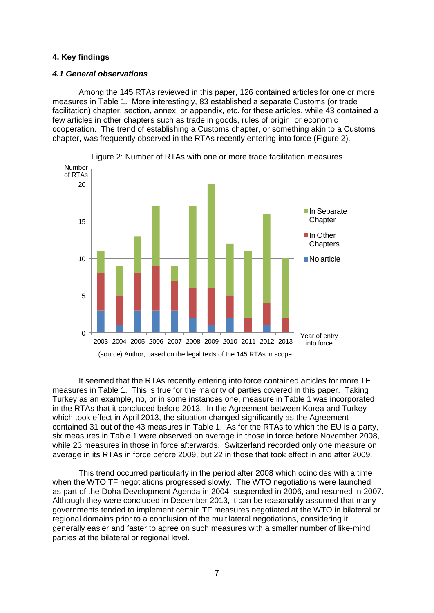## **4. Key findings**

## *4.1 General observations*

Among the 145 RTAs reviewed in this paper, 126 contained articles for one or more measures in Table 1. More interestingly, 83 established a separate Customs (or trade facilitation) chapter, section, annex, or appendix, etc. for these articles, while 43 contained a few articles in other chapters such as trade in goods, rules of origin, or economic cooperation. The trend of establishing a Customs chapter, or something akin to a Customs chapter, was frequently observed in the RTAs recently entering into force (Figure 2).



Figure 2: Number of RTAs with one or more trade facilitation measures

It seemed that the RTAs recently entering into force contained articles for more TF measures in Table 1. This is true for the majority of parties covered in this paper. Taking Turkey as an example, no, or in some instances one, measure in Table 1 was incorporated in the RTAs that it concluded before 2013. In the Agreement between Korea and Turkey which took effect in April 2013, the situation changed significantly as the Agreement contained 31 out of the 43 measures in Table 1. As for the RTAs to which the EU is a party, six measures in Table 1 were observed on average in those in force before November 2008, while 23 measures in those in force afterwards. Switzerland recorded only one measure on average in its RTAs in force before 2009, but 22 in those that took effect in and after 2009.

This trend occurred particularly in the period after 2008 which coincides with a time when the WTO TF negotiations progressed slowly. The WTO negotiations were launched as part of the Doha Development Agenda in 2004, suspended in 2006, and resumed in 2007. Although they were concluded in December 2013, it can be reasonably assumed that many governments tended to implement certain TF measures negotiated at the WTO in bilateral or regional domains prior to a conclusion of the multilateral negotiations, considering it generally easier and faster to agree on such measures with a smaller number of like-mind parties at the bilateral or regional level.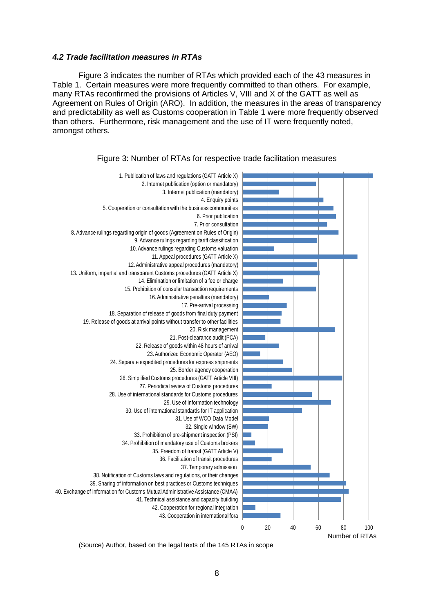#### *4.2 Trade facilitation measures in RTAs*

Figure 3 indicates the number of RTAs which provided each of the 43 measures in Table 1. Certain measures were more frequently committed to than others. For example, many RTAs reconfirmed the provisions of Articles V, VIII and X of the GATT as well as Agreement on Rules of Origin (ARO). In addition, the measures in the areas of transparency and predictability as well as Customs cooperation in Table 1 were more frequently observed than others. Furthermore, risk management and the use of IT were frequently noted, amongst others.



Figure 3: Number of RTAs for respective trade facilitation measures

(Source) Author, based on the legal texts of the 145 RTAs in scope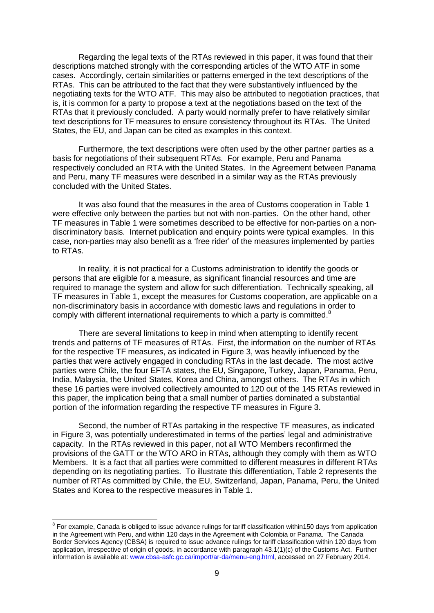Regarding the legal texts of the RTAs reviewed in this paper, it was found that their descriptions matched strongly with the corresponding articles of the WTO ATF in some cases. Accordingly, certain similarities or patterns emerged in the text descriptions of the RTAs. This can be attributed to the fact that they were substantively influenced by the negotiating texts for the WTO ATF. This may also be attributed to negotiation practices, that is, it is common for a party to propose a text at the negotiations based on the text of the RTAs that it previously concluded. A party would normally prefer to have relatively similar text descriptions for TF measures to ensure consistency throughout its RTAs. The United States, the EU, and Japan can be cited as examples in this context.

Furthermore, the text descriptions were often used by the other partner parties as a basis for negotiations of their subsequent RTAs. For example, Peru and Panama respectively concluded an RTA with the United States. In the Agreement between Panama and Peru, many TF measures were described in a similar way as the RTAs previously concluded with the United States.

It was also found that the measures in the area of Customs cooperation in Table 1 were effective only between the parties but not with non-parties. On the other hand, other TF measures in Table 1 were sometimes described to be effective for non-parties on a nondiscriminatory basis. Internet publication and enquiry points were typical examples. In this case, non-parties may also benefit as a "free rider" of the measures implemented by parties to RTAs.

In reality, it is not practical for a Customs administration to identify the goods or persons that are eligible for a measure, as significant financial resources and time are required to manage the system and allow for such differentiation. Technically speaking, all TF measures in Table 1, except the measures for Customs cooperation, are applicable on a non-discriminatory basis in accordance with domestic laws and regulations in order to comply with different international requirements to which a party is committed.<sup>8</sup>

There are several limitations to keep in mind when attempting to identify recent trends and patterns of TF measures of RTAs. First, the information on the number of RTAs for the respective TF measures, as indicated in Figure 3, was heavily influenced by the parties that were actively engaged in concluding RTAs in the last decade. The most active parties were Chile, the four EFTA states, the EU, Singapore, Turkey, Japan, Panama, Peru, India, Malaysia, the United States, Korea and China, amongst others. The RTAs in which these 16 parties were involved collectively amounted to 120 out of the 145 RTAs reviewed in this paper, the implication being that a small number of parties dominated a substantial portion of the information regarding the respective TF measures in Figure 3.

Second, the number of RTAs partaking in the respective TF measures, as indicated in Figure 3, was potentially underestimated in terms of the parties' legal and administrative capacity. In the RTAs reviewed in this paper, not all WTO Members reconfirmed the provisions of the GATT or the WTO ARO in RTAs, although they comply with them as WTO Members. It is a fact that all parties were committed to different measures in different RTAs depending on its negotiating parties. To illustrate this differentiation, Table 2 represents the number of RTAs committed by Chile, the EU, Switzerland, Japan, Panama, Peru, the United States and Korea to the respective measures in Table 1.

 8 For example, Canada is obliged to issue advance rulings for tariff classification within150 days from application in the Agreement with Peru, and within 120 days in the Agreement with Colombia or Panama. The Canada Border Services Agency (CBSA) is required to issue advance rulings for tariff classification within 120 days from application, irrespective of origin of goods, in accordance with paragraph 43.1(1)(c) of the Customs Act. Further information is available at[: www.cbsa-asfc.gc.ca/import/ar-da/menu-eng.html,](http://www.cbsa-asfc.gc.ca/import/ar-da/menu-eng.html) accessed on 27 February 2014.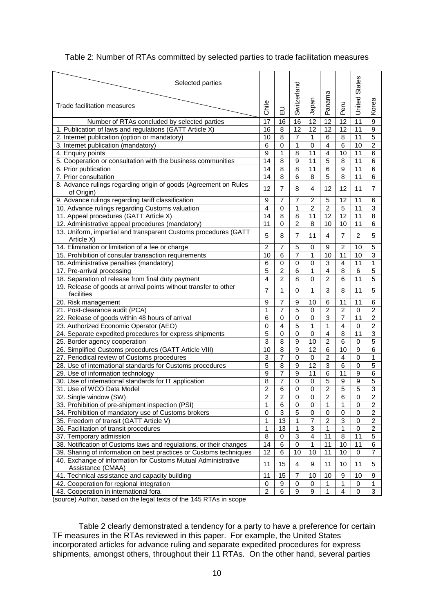| Selected parties                                                               |                         |                  |                 |                         |                 |                         |                 |                         |
|--------------------------------------------------------------------------------|-------------------------|------------------|-----------------|-------------------------|-----------------|-------------------------|-----------------|-------------------------|
|                                                                                |                         |                  |                 |                         |                 |                         | <b>States</b>   |                         |
|                                                                                |                         |                  | Switzerland     |                         | Panama          |                         |                 |                         |
| Trade facilitation measures                                                    |                         |                  |                 |                         |                 |                         |                 |                         |
|                                                                                | Chile                   | 긊                |                 | Japan                   |                 | Peru                    | United          | Korea                   |
| Number of RTAs concluded by selected parties                                   | 17                      | 16               | 16              | $\overline{12}$         | 12              | 12                      | $\overline{11}$ | 9                       |
| 1. Publication of laws and regulations (GATT Article X)                        | 16                      | 8                | $\overline{12}$ | 12                      | 12              | 12                      | 11              | $\overline{9}$          |
| 2. Internet publication (option or mandatory)                                  | 10                      | 8                | $\overline{7}$  | $\mathbf{1}$            | 6               | 8                       | 11              | 5                       |
| 3. Internet publication (mandatory)                                            | 6                       | $\mathbf 0$      | 1               | $\mathbf 0$             | $\overline{4}$  | 6                       | 10              | $\overline{\mathbf{c}}$ |
| 4. Enquiry points                                                              | 9                       | $\mathbf{1}$     | 8               | 11                      | $\overline{4}$  | 10                      | 11              | 6                       |
| 5. Cooperation or consultation with the business communities                   | 14                      | $\overline{8}$   | $\mathsf g$     | 11                      | 5               | 8                       | 11              | $\,6$                   |
|                                                                                | 14                      | $\overline{8}$   | 8               | 11                      | $\overline{6}$  | $\overline{9}$          | 11              | $\,6$                   |
| 6. Prior publication                                                           | 14                      | 8                | 6               | 8                       | 5               | 8                       | 11              |                         |
| 7. Prior consultation                                                          |                         |                  |                 |                         |                 |                         |                 | 6                       |
| 8. Advance rulings regarding origin of goods (Agreement on Rules<br>of Origin) | 12                      | $\overline{7}$   | 8               | 4                       | 12              | 12                      | 11              | $\overline{7}$          |
| 9. Advance rulings regarding tariff classification                             | 9                       | 7                | 7               | $\overline{2}$          | 5               | 12                      | 11              | 6                       |
| 10. Advance rulings regarding Customs valuation                                | $\overline{\mathbf{4}}$ | $\overline{0}$   | $\mathbf{1}$    | $\overline{2}$          | $\overline{2}$  | $\overline{5}$          | 11              | 3                       |
| 11. Appeal procedures (GATT Article X)                                         | 14                      | 8                | 8               | 11                      | 12              | 12                      | 11              | 8                       |
| 12. Administrative appeal procedures (mandatory)                               | 11                      | $\mathbf 0$      | $\overline{c}$  | 8                       | 10              | 10                      | 11              | 6                       |
| 13. Uniform, impartial and transparent Customs procedures (GATT                |                         |                  |                 |                         |                 |                         |                 |                         |
| Article X)                                                                     | 5                       | 8                | 7               | 11                      | 4               | $\overline{7}$          | $\overline{2}$  | 5                       |
| 14. Elimination or limitation of a fee or charge                               | $\overline{c}$          | $\overline{7}$   | 5               | $\mathbf 0$             | 9               | $\overline{c}$          | 10              | 5                       |
| 15. Prohibition of consular transaction requirements                           | 10                      | $6\phantom{1}6$  | $\overline{7}$  | $\mathbf{1}$            | 10              | 11                      | 10              | 3                       |
| 16. Administrative penalties (mandatory)                                       | 6                       | 0                | $\mathbf 0$     | $\mathbf 0$             | 3               | 4                       | 11              | 1                       |
| 17. Pre-arrival processing                                                     | 5                       | $\overline{2}$   | 6               | 1                       | $\overline{4}$  | 8                       | 6               | $\overline{5}$          |
| 18. Separation of release from final duty payment                              | 4                       | $\overline{2}$   | 8               | $\overline{0}$          | $\overline{2}$  | 6                       | 11              | 5                       |
| 19. Release of goods at arrival points without transfer to other               | 7                       | 1                | 0               | $\mathbf{1}$            | 3               | 8                       | 11              | 5                       |
| facilities                                                                     |                         |                  |                 |                         |                 |                         |                 |                         |
| 20. Risk management                                                            | 9                       | $\overline{7}$   | 9               | 10                      | 6               | 11                      | 11              | 6                       |
| 21. Post-clearance audit (PCA)                                                 | 1                       | $\overline{7}$   | 5               | $\mathbf 0$             | $\overline{2}$  | $\overline{2}$          | $\mathbf 0$     | $\overline{2}$          |
| 22. Release of goods within 48 hours of arrival                                | 6                       | $\mathbf 0$      | $\mathbf 0$     | $\overline{0}$          | $\overline{3}$  | $\overline{7}$          | $\overline{11}$ | $\overline{2}$          |
| 23. Authorized Economic Operator (AEO)                                         | 0                       | $\overline{4}$   | 5               | $\mathbf{1}$            | 1               | $\overline{\mathbf{4}}$ | $\mathbf 0$     | $\overline{2}$          |
| 24. Separate expedited procedures for express shipments                        | 5                       | $\mathbf 0$      | $\mathbf 0$     | $\mathbf 0$             | $\overline{4}$  | 8                       | 11              | 3                       |
| 25. Border agency cooperation                                                  | 3                       | 8                | 9               | 10                      | 2               | 6                       | 0               | 5                       |
| 26. Simplified Customs procedures (GATT Article VIII)                          | $\overline{10}$         | $\overline{8}$   | $\overline{9}$  | $\overline{12}$         | $\overline{6}$  | 10                      | 9               | $\overline{6}$          |
| 27. Periodical review of Customs procedures                                    | 3                       | $\overline{7}$   | $\mathbf 0$     | $\mathbf 0$             | $\overline{2}$  | $\overline{4}$          | 0               | 1                       |
| 28. Use of international standards for Customs procedures                      | 5                       | $\overline{8}$   | 9               | $\overline{12}$         | $\overline{3}$  | $\overline{6}$          | 0               | $\overline{5}$          |
| 29. Use of information technology                                              | 9                       | 7                | 9               | 11                      | 6               | 11                      | 9               | 6                       |
| 30. Use of international standards for IT application                          | 8                       | 7                | $\mathbf 0$     | $\mathbf 0$             | $\overline{5}$  | 9                       | 9               | $\overline{5}$          |
| 31. Use of WCO Data Model                                                      | 2                       | 6                | $\mathbf 0$     | $\mathbf 0$             | $\overline{2}$  | 5                       | 5               | 3                       |
| 32. Single window (SW)                                                         | $\overline{2}$          | $\overline{2}$   | $\overline{0}$  | $\overline{0}$          | $\overline{2}$  | $\overline{6}$          | $\overline{0}$  | $\overline{2}$          |
| 33. Prohibition of pre-shipment inspection (PSI)                               | 1                       | $\,6$            | 0               | $\mathbf 0$             | 1               | 1                       | 0               | $\boldsymbol{2}$        |
| 34. Prohibition of mandatory use of Customs brokers                            | $\pmb{0}$               | $\sqrt{3}$       | 5               | 0                       | $\mathbf 0$     | $\pmb{0}$               | $\pmb{0}$       | $\overline{c}$          |
| 35. Freedom of transit (GATT Article V)                                        | 1                       | 13               | 1               | $\overline{\mathbf{7}}$ | $\overline{c}$  | 3                       | 0               | $\overline{c}$          |
| 36. Facilitation of transit procedures                                         | 1                       | 13               | 1               | 3                       | 1               | 1                       | $\mathbf 0$     | $\overline{\mathbf{c}}$ |
| 37. Temporary admission                                                        | $\overline{8}$          | $\pmb{0}$        | $\overline{3}$  | $\overline{4}$          | 11              | 8                       | 11              | 5                       |
| 38. Notification of Customs laws and regulations, or their changes             | 14                      | $\,6$            | $\mathbf 0$     | $\mathbf{1}$            | 11              | 10                      | 11              | 6                       |
| 39. Sharing of information on best practices or Customs techniques             | 12                      | $\overline{6}$   | $\overline{10}$ | 10                      | $\overline{11}$ | 10                      | $\mathbf 0$     | $\overline{7}$          |
| 40. Exchange of information for Customs Mutual Administrative                  |                         | 15               |                 |                         |                 |                         |                 |                         |
| Assistance (CMAA)                                                              |                         |                  | 4               | 9                       | 11              | 10                      | 11              | 5                       |
| 41. Technical assistance and capacity building                                 | 11                      | 15               | 7               | 10                      | 10              | 9                       | 10              | 9                       |
| 42. Cooperation for regional integration                                       | 0                       | $\boldsymbol{9}$ | 0               | 0                       | 1               | 1                       | 0               | 1                       |
| 43. Cooperation in international fora                                          | $\overline{2}$          | $\overline{6}$   | $\overline{9}$  | $\overline{9}$          | 1               | $\overline{4}$          | 0               | $\overline{3}$          |
|                                                                                |                         |                  |                 |                         |                 |                         |                 |                         |

## Table 2: Number of RTAs committed by selected parties to trade facilitation measures

(source) Author, based on the legal texts of the 145 RTAs in scope

Table 2 clearly demonstrated a tendency for a party to have a preference for certain TF measures in the RTAs reviewed in this paper. For example, the United States incorporated articles for advance ruling and separate expedited procedures for express shipments, amongst others, throughout their 11 RTAs. On the other hand, several parties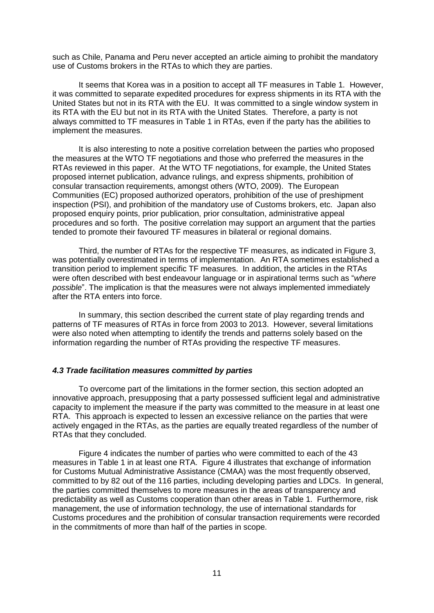such as Chile, Panama and Peru never accepted an article aiming to prohibit the mandatory use of Customs brokers in the RTAs to which they are parties.

It seems that Korea was in a position to accept all TF measures in Table 1. However, it was committed to separate expedited procedures for express shipments in its RTA with the United States but not in its RTA with the EU. It was committed to a single window system in its RTA with the EU but not in its RTA with the United States. Therefore, a party is not always committed to TF measures in Table 1 in RTAs, even if the party has the abilities to implement the measures.

It is also interesting to note a positive correlation between the parties who proposed the measures at the WTO TF negotiations and those who preferred the measures in the RTAs reviewed in this paper. At the WTO TF negotiations, for example, the United States proposed internet publication, advance rulings, and express shipments, prohibition of consular transaction requirements, amongst others (WTO, 2009). The European Communities (EC) proposed authorized operators, prohibition of the use of preshipment inspection (PSI), and prohibition of the mandatory use of Customs brokers, etc. Japan also proposed enquiry points, prior publication, prior consultation, administrative appeal procedures and so forth. The positive correlation may support an argument that the parties tended to promote their favoured TF measures in bilateral or regional domains.

Third, the number of RTAs for the respective TF measures, as indicated in Figure 3, was potentially overestimated in terms of implementation. An RTA sometimes established a transition period to implement specific TF measures. In addition, the articles in the RTAs were often described with best endeavour language or in aspirational terms such as "*where possible*". The implication is that the measures were not always implemented immediately after the RTA enters into force.

In summary, this section described the current state of play regarding trends and patterns of TF measures of RTAs in force from 2003 to 2013. However, several limitations were also noted when attempting to identify the trends and patterns solely based on the information regarding the number of RTAs providing the respective TF measures.

## *4.3 Trade facilitation measures committed by parties*

To overcome part of the limitations in the former section, this section adopted an innovative approach, presupposing that a party possessed sufficient legal and administrative capacity to implement the measure if the party was committed to the measure in at least one RTA. This approach is expected to lessen an excessive reliance on the parties that were actively engaged in the RTAs, as the parties are equally treated regardless of the number of RTAs that they concluded.

Figure 4 indicates the number of parties who were committed to each of the 43 measures in Table 1 in at least one RTA. Figure 4 illustrates that exchange of information for Customs Mutual Administrative Assistance (CMAA) was the most frequently observed, committed to by 82 out of the 116 parties, including developing parties and LDCs. In general, the parties committed themselves to more measures in the areas of transparency and predictability as well as Customs cooperation than other areas in Table 1. Furthermore, risk management, the use of information technology, the use of international standards for Customs procedures and the prohibition of consular transaction requirements were recorded in the commitments of more than half of the parties in scope.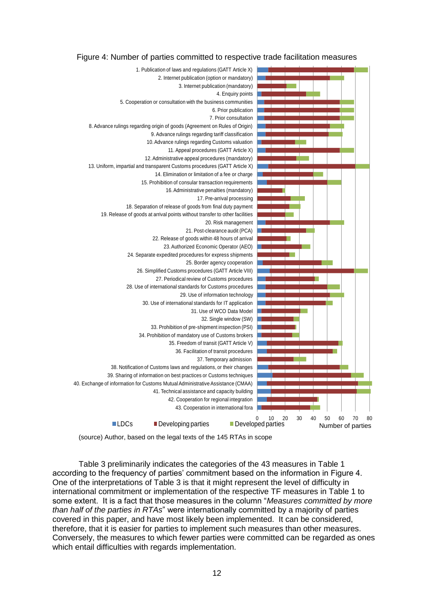



(source) Author, based on the legal texts of the 145 RTAs in scope

Table 3 preliminarily indicates the categories of the 43 measures in Table 1 according to the frequency of parties' commitment based on the information in Figure 4. One of the interpretations of Table 3 is that it might represent the level of difficulty in international commitment or implementation of the respective TF measures in Table 1 to some extent. It is a fact that those measures in the column "*Measures committed by more than half of the parties in RTAs*" were internationally committed by a majority of parties covered in this paper, and have most likely been implemented. It can be considered, therefore, that it is easier for parties to implement such measures than other measures. Conversely, the measures to which fewer parties were committed can be regarded as ones which entail difficulties with regards implementation.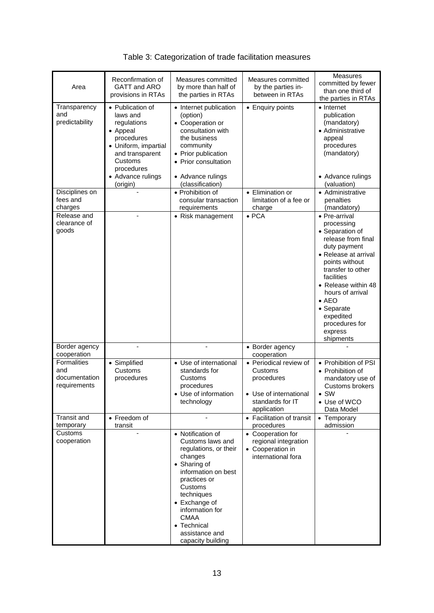| Area                                                | Reconfirmation of<br>GATT and ARO<br>provisions in RTAs                                                                                                                    | Measures committed<br>by more than half of<br>the parties in RTAs                                                                                                                                                                                                  | Measures committed<br>by the parties in-<br>between in RTAs                                                  | <b>Measures</b><br>committed by fewer<br>than one third of<br>the parties in RTAs                                                                                                                                                                                                                  |
|-----------------------------------------------------|----------------------------------------------------------------------------------------------------------------------------------------------------------------------------|--------------------------------------------------------------------------------------------------------------------------------------------------------------------------------------------------------------------------------------------------------------------|--------------------------------------------------------------------------------------------------------------|----------------------------------------------------------------------------------------------------------------------------------------------------------------------------------------------------------------------------------------------------------------------------------------------------|
| Transparency<br>and<br>predictability               | • Publication of<br>laws and<br>regulations<br>• Appeal<br>procedures<br>• Uniform, impartial<br>and transparent<br>Customs<br>procedures<br>• Advance rulings<br>(origin) | • Internet publication<br>(option)<br>• Cooperation or<br>consultation with<br>the business<br>community<br>• Prior publication<br>• Prior consultation<br>• Advance rulings<br>(classification)                                                                   | • Enquiry points                                                                                             | • Internet<br>publication<br>(mandatory)<br>• Administrative<br>appeal<br>procedures<br>(mandatory)<br>• Advance rulings<br>(valuation)                                                                                                                                                            |
| Disciplines on<br>fees and<br>charges               |                                                                                                                                                                            | • Prohibition of<br>consular transaction<br>requirements                                                                                                                                                                                                           | • Elimination or<br>limitation of a fee or<br>charge                                                         | • Administrative<br>penalties<br>(mandatory)                                                                                                                                                                                                                                                       |
| Release and<br>clearance of<br>goods                |                                                                                                                                                                            | • Risk management                                                                                                                                                                                                                                                  | $\bullet$ PCA                                                                                                | • Pre-arrival<br>processing<br>• Separation of<br>release from final<br>duty payment<br>• Release at arrival<br>points without<br>transfer to other<br>facilities<br>• Release within 48<br>hours of arrival<br>$\bullet$ AEO<br>• Separate<br>expedited<br>procedures for<br>express<br>shipments |
| Border agency<br>cooperation                        |                                                                                                                                                                            | ÷,                                                                                                                                                                                                                                                                 | • Border agency<br>cooperation                                                                               |                                                                                                                                                                                                                                                                                                    |
| Formalities<br>and<br>documentation<br>requirements | • Simplified<br>Customs<br>procedures                                                                                                                                      | • Use of international<br>standards for<br>Customs<br>procedures<br>• Use of information<br>technology                                                                                                                                                             | • Periodical review of<br>Customs<br>procedures<br>• Use of international<br>standards for IT<br>application | • Prohibition of PSI<br>• Prohibition of<br>mandatory use of<br>Customs brokers<br>$\bullet$ SW<br>• Use of WCO<br>Data Model                                                                                                                                                                      |
| Transit and<br>temporary                            | • Freedom of<br>transit                                                                                                                                                    |                                                                                                                                                                                                                                                                    | • Facilitation of transit<br>procedures                                                                      | • Temporary<br>admission                                                                                                                                                                                                                                                                           |
| Customs<br>cooperation                              |                                                                                                                                                                            | • Notification of<br>Customs laws and<br>regulations, or their<br>changes<br>• Sharing of<br>information on best<br>practices or<br>Customs<br>techniques<br>• Exchange of<br>information for<br><b>CMAA</b><br>• Technical<br>assistance and<br>capacity building | • Cooperation for<br>regional integration<br>• Cooperation in<br>international fora                          |                                                                                                                                                                                                                                                                                                    |

Table 3: Categorization of trade facilitation measures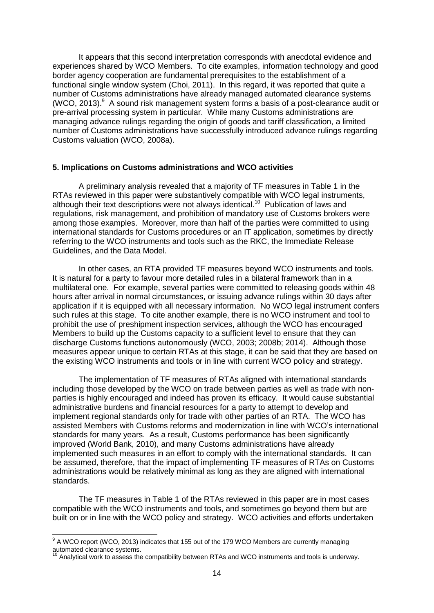It appears that this second interpretation corresponds with anecdotal evidence and experiences shared by WCO Members. To cite examples, information technology and good border agency cooperation are fundamental prerequisites to the establishment of a functional single window system (Choi, 2011). In this regard, it was reported that quite a number of Customs administrations have already managed automated clearance systems (WCO, 2013). $9$  A sound risk management system forms a basis of a post-clearance audit or pre-arrival processing system in particular. While many Customs administrations are managing advance rulings regarding the origin of goods and tariff classification, a limited number of Customs administrations have successfully introduced advance rulings regarding Customs valuation (WCO, 2008a).

#### **5. Implications on Customs administrations and WCO activities**

A preliminary analysis revealed that a majority of TF measures in Table 1 in the RTAs reviewed in this paper were substantively compatible with WCO legal instruments, although their text descriptions were not always identical.<sup>10</sup> Publication of laws and regulations, risk management, and prohibition of mandatory use of Customs brokers were among those examples. Moreover, more than half of the parties were committed to using international standards for Customs procedures or an IT application, sometimes by directly referring to the WCO instruments and tools such as the RKC, the Immediate Release Guidelines, and the Data Model.

In other cases, an RTA provided TF measures beyond WCO instruments and tools. It is natural for a party to favour more detailed rules in a bilateral framework than in a multilateral one. For example, several parties were committed to releasing goods within 48 hours after arrival in normal circumstances, or issuing advance rulings within 30 days after application if it is equipped with all necessary information. No WCO legal instrument confers such rules at this stage. To cite another example, there is no WCO instrument and tool to prohibit the use of preshipment inspection services, although the WCO has encouraged Members to build up the Customs capacity to a sufficient level to ensure that they can discharge Customs functions autonomously (WCO, 2003; 2008b; 2014). Although those measures appear unique to certain RTAs at this stage, it can be said that they are based on the existing WCO instruments and tools or in line with current WCO policy and strategy.

The implementation of TF measures of RTAs aligned with international standards including those developed by the WCO on trade between parties as well as trade with nonparties is highly encouraged and indeed has proven its efficacy. It would cause substantial administrative burdens and financial resources for a party to attempt to develop and implement regional standards only for trade with other parties of an RTA. The WCO has assisted Members with Customs reforms and modernization in line with WCO"s international standards for many years. As a result, Customs performance has been significantly improved (World Bank, 2010), and many Customs administrations have already implemented such measures in an effort to comply with the international standards. It can be assumed, therefore, that the impact of implementing TF measures of RTAs on Customs administrations would be relatively minimal as long as they are aligned with international standards.

The TF measures in Table 1 of the RTAs reviewed in this paper are in most cases compatible with the WCO instruments and tools, and sometimes go beyond them but are built on or in line with the WCO policy and strategy. WCO activities and efforts undertaken

 9 A WCO report (WCO, 2013) indicates that 155 out of the 179 WCO Members are currently managing automated clearance systems.

Analytical work to assess the compatibility between RTAs and WCO instruments and tools is underway.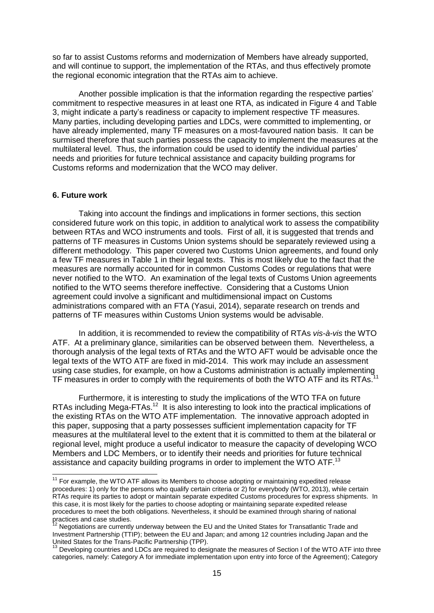so far to assist Customs reforms and modernization of Members have already supported, and will continue to support, the implementation of the RTAs, and thus effectively promote the regional economic integration that the RTAs aim to achieve.

Another possible implication is that the information regarding the respective parties" commitment to respective measures in at least one RTA, as indicated in Figure 4 and Table 3, might indicate a party"s readiness or capacity to implement respective TF measures. Many parties, including developing parties and LDCs, were committed to implementing, or have already implemented, many TF measures on a most-favoured nation basis. It can be surmised therefore that such parties possess the capacity to implement the measures at the multilateral level. Thus, the information could be used to identify the individual parties" needs and priorities for future technical assistance and capacity building programs for Customs reforms and modernization that the WCO may deliver.

#### **6. Future work**

-

Taking into account the findings and implications in former sections, this section considered future work on this topic, in addition to analytical work to assess the compatibility between RTAs and WCO instruments and tools. First of all, it is suggested that trends and patterns of TF measures in Customs Union systems should be separately reviewed using a different methodology. This paper covered two Customs Union agreements, and found only a few TF measures in Table 1 in their legal texts. This is most likely due to the fact that the measures are normally accounted for in common Customs Codes or regulations that were never notified to the WTO. An examination of the legal texts of Customs Union agreements notified to the WTO seems therefore ineffective. Considering that a Customs Union agreement could involve a significant and multidimensional impact on Customs administrations compared with an FTA (Yasui, 2014), separate research on trends and patterns of TF measures within Customs Union systems would be advisable.

In addition, it is recommended to review the compatibility of RTAs *vis-à-vis* the WTO ATF. At a preliminary glance, similarities can be observed between them. Nevertheless, a thorough analysis of the legal texts of RTAs and the WTO AFT would be advisable once the legal texts of the WTO ATF are fixed in mid-2014. This work may include an assessment using case studies, for example, on how a Customs administration is actually implementing TF measures in order to comply with the requirements of both the WTO ATF and its RTAs.

Furthermore, it is interesting to study the implications of the WTO TFA on future RTAs including Mega-FTAs.<sup>12</sup> It is also interesting to look into the practical implications of the existing RTAs on the WTO ATF implementation. The innovative approach adopted in this paper, supposing that a party possesses sufficient implementation capacity for TF measures at the multilateral level to the extent that it is committed to them at the bilateral or regional level, might produce a useful indicator to measure the capacity of developing WCO Members and LDC Members, or to identify their needs and priorities for future technical assistance and capacity building programs in order to implement the WTO ATF.<sup>13</sup>

 $11$  For example, the WTO ATF allows its Members to choose adopting or maintaining expedited release procedures: 1) only for the persons who qualify certain criteria or 2) for everybody (WTO, 2013), while certain RTAs require its parties to adopt or maintain separate expedited Customs procedures for express shipments. In this case, it is most likely for the parties to choose adopting or maintaining separate expedited release procedures to meet the both obligations. Nevertheless, it should be examined through sharing of national practices and case studies.

Negotiations are currently underway between the EU and the United States for Transatlantic Trade and Investment Partnership (TTIP); between the EU and Japan; and among 12 countries including Japan and the United States for the Trans-Pacific Partnership (TPP).

<sup>&</sup>lt;sup>13</sup> Developing countries and LDCs are required to designate the measures of Section I of the WTO ATF into three categories, namely: Category A for immediate implementation upon entry into force of the Agreement); Category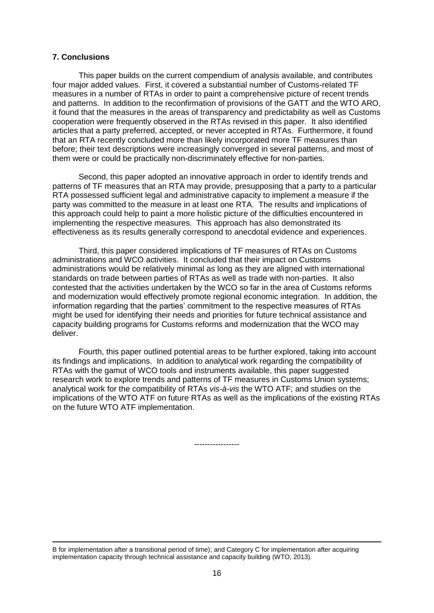## **7. Conclusions**

-

This paper builds on the current compendium of analysis available, and contributes four major added values. First, it covered a substantial number of Customs-related TF measures in a number of RTAs in order to paint a comprehensive picture of recent trends and patterns. In addition to the reconfirmation of provisions of the GATT and the WTO ARO, it found that the measures in the areas of transparency and predictability as well as Customs cooperation were frequently observed in the RTAs revised in this paper. It also identified articles that a party preferred, accepted, or never accepted in RTAs. Furthermore, it found that an RTA recently concluded more than likely incorporated more TF measures than before; their text descriptions were increasingly converged in several patterns, and most of them were or could be practically non-discriminately effective for non-parties.

Second, this paper adopted an innovative approach in order to identify trends and patterns of TF measures that an RTA may provide, presupposing that a party to a particular RTA possessed sufficient legal and administrative capacity to implement a measure if the party was committed to the measure in at least one RTA. The results and implications of this approach could help to paint a more holistic picture of the difficulties encountered in implementing the respective measures. This approach has also demonstrated its effectiveness as its results generally correspond to anecdotal evidence and experiences.

Third, this paper considered implications of TF measures of RTAs on Customs administrations and WCO activities. It concluded that their impact on Customs administrations would be relatively minimal as long as they are aligned with international standards on trade between parties of RTAs as well as trade with non-parties. It also contested that the activities undertaken by the WCO so far in the area of Customs reforms and modernization would effectively promote regional economic integration. In addition, the information regarding that the parties' commitment to the respective measures of RTAs might be used for identifying their needs and priorities for future technical assistance and capacity building programs for Customs reforms and modernization that the WCO may deliver.

Fourth, this paper outlined potential areas to be further explored, taking into account its findings and implications. In addition to analytical work regarding the compatibility of RTAs with the gamut of WCO tools and instruments available, this paper suggested research work to explore trends and patterns of TF measures in Customs Union systems; analytical work for the compatibility of RTAs *vis-à-vis* the WTO ATF; and studies on the implications of the WTO ATF on future RTAs as well as the implications of the existing RTAs on the future WTO ATF implementation.

-----------------

B for implementation after a transitional period of time); and Category C for implementation after acquiring implementation capacity through technical assistance and capacity building (WTO, 2013).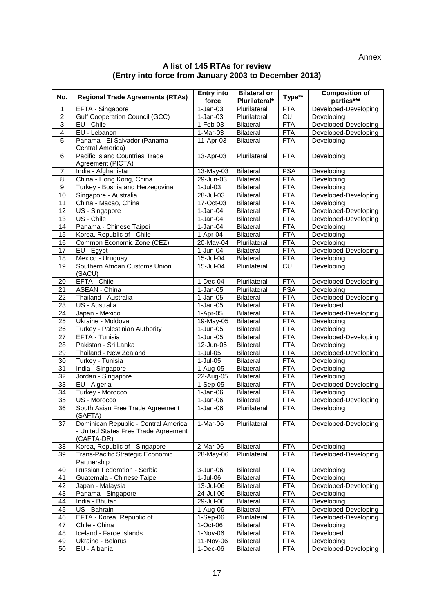Annex

## **A list of 145 RTAs for review (Entry into force from January 2003 to December 2013)**

| No.              | <b>Regional Trade Agreements (RTAs)</b>                                                    | <b>Entry into</b><br>force | <b>Bilateral or</b><br>Plurilateral* | Type**                        | <b>Composition of</b><br>parties*** |
|------------------|--------------------------------------------------------------------------------------------|----------------------------|--------------------------------------|-------------------------------|-------------------------------------|
| 1                | EFTA - Singapore                                                                           | $1-Jan-03$                 | Plurilateral                         | <b>FTA</b>                    | Developed-Developing                |
| $\overline{2}$   | <b>Gulf Cooperation Council (GCC)</b>                                                      | $1-Jan-03$                 | Plurilateral                         | CU                            | Developing                          |
| $\overline{3}$   | EU - Chile                                                                                 | $1-Feb-03$                 | <b>Bilateral</b>                     | <b>FTA</b>                    | Developed-Developing                |
| $\overline{4}$   | EU - Lebanon                                                                               | 1-Mar-03                   | <b>Bilateral</b>                     | <b>FTA</b>                    | Developed-Developing                |
| $\overline{5}$   | Panama - El Salvador (Panama -<br>Central America)                                         | 11-Apr-03                  | <b>Bilateral</b>                     | <b>FTA</b>                    | Developing                          |
| 6                | Pacific Island Countries Trade<br>Agreement (PICTA)                                        | 13-Apr-03                  | Plurilateral                         | <b>FTA</b>                    | Developing                          |
| 7                | India - Afghanistan                                                                        | 13-May-03                  | Bilateral                            | <b>PSA</b>                    | Developing                          |
| $\overline{8}$   | China - Hong Kong, China                                                                   | 29-Jun-03                  | Bilateral                            | <b>FTA</b>                    | Developing                          |
| $\boldsymbol{9}$ | Turkey - Bosnia and Herzegovina                                                            | $1-Jul-03$                 | <b>Bilateral</b>                     | <b>FTA</b>                    | Developing                          |
| 10               | Singapore - Australia                                                                      | $28 -$ Jul $-03$           | <b>Bilateral</b>                     | <b>FTA</b>                    | Developed-Developing                |
| 11               | China - Macao, China                                                                       | $17-Ort-03$                | <b>Bilateral</b>                     | <b>FTA</b>                    | Developing                          |
| 12               | US - Singapore                                                                             | $1-Jan-04$                 | <b>Bilateral</b>                     | <b>FTA</b>                    | Developed-Developing                |
| 13               | US - Chile                                                                                 | $1-Jan-04$                 | Bilateral                            | <b>FTA</b>                    | Developed-Developing                |
| 14               | Panama - Chinese Taipei                                                                    | $1-Jan-04$                 | <b>Bilateral</b>                     | <b>FTA</b>                    | Developing                          |
| 15               | Korea, Republic of - Chile                                                                 | $1-Apr-04$                 | <b>Bilateral</b>                     | <b>FTA</b>                    | Developing                          |
| 16               | Common Economic Zone (CEZ)                                                                 | 20-May-04                  | Plurilateral                         | <b>FTA</b>                    | Developing                          |
| 17               | EU - Egypt                                                                                 | 1-Jun-04                   | <b>Bilateral</b>                     | <b>FTA</b>                    | Developed-Developing                |
| 18               | Mexico - Uruguay                                                                           | $15 -$ Jul-04              | <b>Bilateral</b>                     | <b>FTA</b>                    | Developing                          |
| 19               | Southern African Customs Union<br>(SACU)                                                   | 15-Jul-04                  | Plurilateral                         | $\overline{\text{c}\text{u}}$ | Developing                          |
| 20               | EFTA - Chile                                                                               | 1-Dec-04                   | Plurilateral                         | <b>FTA</b>                    | Developed-Developing                |
| 21               | ASEAN - China                                                                              | $1-Jan-05$                 | Plurilateral                         | <b>PSA</b>                    | Developing                          |
| 22               | Thailand - Australia                                                                       | 1-Jan-05                   | Bilateral                            | <b>FTA</b>                    | Developed-Developing                |
| 23               | US - Australia                                                                             | $1-Jan-05$                 | <b>Bilateral</b>                     | <b>FTA</b>                    | Developed                           |
| 24               | Japan - Mexico                                                                             | 1-Apr-05                   | <b>Bilateral</b>                     | <b>FTA</b>                    | Developed-Developing                |
| 25               | Ukraine - Moldova                                                                          | 19-May-05                  | Bilateral                            | <b>FTA</b>                    | Developing                          |
| 26<br>27         | Turkey - Palestinian Authority<br>EFTA - Tunisia                                           | 1-Jun-05<br>1-Jun-05       | <b>Bilateral</b><br>Bilateral        | <b>FTA</b><br><b>FTA</b>      | Developing<br>Developed-Developing  |
| 28               | Pakistan - Sri Lanka                                                                       | 12-Jun-05                  | <b>Bilateral</b>                     | <b>FTA</b>                    | Developing                          |
| 29               | Thailand - New Zealand                                                                     | $1-Jul-05$                 | <b>Bilateral</b>                     | <b>FTA</b>                    | Developed-Developing                |
| 30               | Turkey - Tunisia                                                                           | $1-Jul-05$                 | <b>Bilateral</b>                     | <b>FTA</b>                    | Developing                          |
| 31               | India - Singapore                                                                          | $1-Aug-05$                 | <b>Bilateral</b>                     | <b>FTA</b>                    | Developing                          |
| $\overline{32}$  | Jordan - Singapore                                                                         | 22-Aug-05                  | Bilateral                            | <b>FTA</b>                    | Developing                          |
| 33               | EU - Algeria                                                                               | 1-Sep-05                   | Bilateral                            | <b>FTA</b>                    | Developed-Developing                |
| 34               | Turkey - Morocco                                                                           | $1-Jan-06$                 | Bilateral                            | <b>FTA</b>                    | Developing                          |
| 35               | US - Morocco                                                                               | $1-Jan-06$                 | Bilateral                            | <b>FTA</b>                    | Developed-Developing                |
| $\overline{36}$  | South Asian Free Trade Agreement<br>(SAFTA)                                                | $1-Jan-06$                 | Plurilateral                         | <b>FTA</b>                    | Developing                          |
| 37               | Dominican Republic - Central America<br>- United States Free Trade Agreement<br>(CAFTA-DR) | 1-Mar-06                   | Plurilateral                         | <b>FTA</b>                    | Developed-Developing                |
| 38               | Korea, Republic of - Singapore                                                             | 2-Mar-06                   | <b>Bilateral</b>                     | <b>FTA</b>                    | Developing                          |
| 39               | Trans-Pacific Strategic Economic<br>Partnership                                            | 28-May-06                  | Plurilateral                         | <b>FTA</b>                    | Developed-Developing                |
| 40               | Russian Federation - Serbia                                                                | 3-Jun-06                   | <b>Bilateral</b>                     | <b>FTA</b>                    | Developing                          |
| 41               | Guatemala - Chinese Taipei                                                                 | 1-Jul-06                   | <b>Bilateral</b>                     | <b>FTA</b>                    | Developing                          |
| 42               | Japan - Malaysia                                                                           | 13-Jul-06                  | <b>Bilateral</b>                     | <b>FTA</b>                    | Developed-Developing                |
| 43               | Panama - Singapore                                                                         | 24-Jul-06                  | <b>Bilateral</b>                     | <b>FTA</b>                    | Developing                          |
| 44               | India - Bhutan                                                                             | 29-Jul-06                  | <b>Bilateral</b>                     | <b>FTA</b>                    | Developing                          |
| 45               | US - Bahrain                                                                               | 1-Aug-06                   | <b>Bilateral</b>                     | <b>FTA</b>                    | Developed-Developing                |
| 46               | EFTA - Korea, Republic of                                                                  | 1-Sep-06                   | Plurilateral                         | <b>FTA</b>                    | Developed-Developing                |
| 47               | Chile - China                                                                              | 1-Oct-06                   | <b>Bilateral</b>                     | <b>FTA</b>                    | Developing                          |
| 48               | Iceland - Faroe Islands                                                                    | 1-Nov-06                   | <b>Bilateral</b>                     | <b>FTA</b>                    | Developed                           |
| 49<br>50         | Ukraine - Belarus<br>EU - Albania                                                          | 11-Nov-06<br>$1-Dec-06$    | <b>Bilateral</b><br><b>Bilateral</b> | <b>FTA</b><br><b>FTA</b>      | Developing<br>Developed-Developing  |
|                  |                                                                                            |                            |                                      |                               |                                     |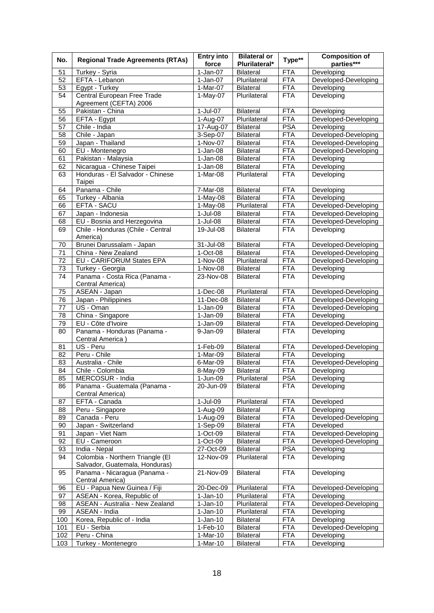| No.      | <b>Regional Trade Agreements (RTAs)</b>                        | <b>Entry into</b><br>force | <b>Bilateral or</b><br>Plurilateral* | Type**                   | <b>Composition of</b><br>parties*** |
|----------|----------------------------------------------------------------|----------------------------|--------------------------------------|--------------------------|-------------------------------------|
|          |                                                                |                            | <b>Bilateral</b>                     |                          | Developing                          |
| 51       | Turkey - Syria                                                 | $1-Jan-07$                 |                                      | FTA                      |                                     |
| 52       | EFTA - Lebanon                                                 | $1-Jan-07$                 | Plurilateral                         | <b>FTA</b>               | Developed-Developing                |
| 53       | Egypt - Turkey                                                 | 1-Mar-07                   | Bilateral                            | <b>FTA</b>               | Developing                          |
| 54       | Central European Free Trade                                    | $1-May-07$                 | Plurilateral                         | <b>FTA</b>               | Developing                          |
|          | Agreement (CEFTA) 2006                                         |                            |                                      |                          |                                     |
| 55       | Pakistan - China                                               | 1-Jul-07                   | <b>Bilateral</b>                     | <b>FTA</b>               | Developing                          |
| 56       | EFTA - Egypt                                                   | 1-Aug-07                   | Plurilateral                         | <b>FTA</b>               | Developed-Developing                |
| 57       | Chile - India                                                  | 17-Aug-07                  | Bilateral                            | <b>PSA</b>               | Developing                          |
| 58       | Chile - Japan                                                  | 3-Sep-07                   | Bilateral                            | <b>FTA</b>               | Developed-Developing                |
| 59       | Japan - Thailand                                               | 1-Nov-07                   | <b>Bilateral</b>                     | <b>FTA</b>               | Developed-Developing                |
| 60       | EU - Montenegro                                                | $1-Jan-08$                 | <b>Bilateral</b>                     | <b>FTA</b>               | Developed-Developing                |
| 61       | Pakistan - Malaysia                                            | $1-Jan-08$                 | Bilateral                            | <b>FTA</b>               | Developing                          |
| 62       | Nicaragua - Chinese Taipei<br>Honduras - El Salvador - Chinese | $1-Jan-08$                 | Bilateral                            | <b>FTA</b><br><b>FTA</b> | Developing                          |
| 63       |                                                                | 1-Mar-08                   | Plurilateral                         |                          | Developing                          |
|          | Taipei                                                         |                            |                                      |                          |                                     |
| 64       | Panama - Chile                                                 | 7-Mar-08                   | Bilateral                            | <b>FTA</b><br><b>FTA</b> | Developing                          |
| 65       | Turkey - Albania<br>EFTA - SACU                                | $1-May-08$<br>$1-May-08$   | <b>Bilateral</b><br>Plurilateral     | <b>FTA</b>               | Developing<br>Developed-Developing  |
| 66       |                                                                |                            |                                      | <b>FTA</b>               |                                     |
| 67       | Japan - Indonesia<br>EU - Bosnia and Herzegovina               | $1-Jul-08$                 | <b>Bilateral</b><br><b>Bilateral</b> | <b>FTA</b>               | Developed-Developing                |
| 68       |                                                                | $1-Jul-08$                 |                                      |                          | Developed-Developing                |
| 69       | Chile - Honduras (Chile - Central<br>America)                  | 19-Jul-08                  | <b>Bilateral</b>                     | <b>FTA</b>               | Developing                          |
|          | Brunei Darussalam - Japan                                      | 31-Jul-08                  | Bilateral                            | <b>FTA</b>               | Developed-Developing                |
| 70<br>71 | China - New Zealand                                            | 1-Oct-08                   | <b>Bilateral</b>                     | <b>FTA</b>               | Developed-Developing                |
| 72       |                                                                | $1-Nov-08$                 | Plurilateral                         | <b>FTA</b>               |                                     |
|          | EU - CARIFORUM States EPA                                      |                            |                                      |                          | Developed-Developing                |
| 73       | Turkey - Georgia                                               | 1-Nov-08                   | <b>Bilateral</b>                     | <b>FTA</b>               | Developing                          |
| 74       | Panama - Costa Rica (Panama -<br>Central America)              | 23-Nov-08                  | <b>Bilateral</b>                     | <b>FTA</b>               | Developing                          |
| 75       | ASEAN - Japan                                                  | $1-Dec-08$                 | Plurilateral                         | <b>FTA</b>               | Developed-Developing                |
| 76       | Japan - Philippines                                            | 11-Dec-08                  | <b>Bilateral</b>                     | <b>FTA</b>               | Developed-Developing                |
| 77       | US - Oman                                                      | $1-Jan-09$                 | <b>Bilateral</b>                     | <b>FTA</b>               | Developed-Developing                |
| 78       | China - Singapore                                              | $\overline{1}$ -Jan-09     | <b>Bilateral</b>                     | <b>FTA</b>               | Developing                          |
| 79       | EU - Côte d'Ivoire                                             | $1-Jan-09$                 | <b>Bilateral</b>                     | <b>FTA</b>               | Developed-Developing                |
| 80       | Panama - Honduras (Panama -                                    | 9-Jan-09                   | <b>Bilateral</b>                     | <b>FTA</b>               | Developing                          |
|          | Central America)                                               |                            |                                      |                          |                                     |
| 81       | US - Peru                                                      | 1-Feb-09                   | Bilateral                            | <b>FTA</b>               | Developed-Developing                |
| 82       | Peru - Chile                                                   | 1-Mar-09                   | <b>Bilateral</b>                     | <b>FTA</b>               | Developing                          |
| 83       | Australia - Chile                                              | 6-Mar-09                   | Bilateral                            | <b>FTA</b>               | Developed-Developing                |
| 84       | Chile - Colombia                                               | 8-May-09                   | <b>Bilateral</b>                     | <b>FTA</b>               | Developing                          |
| 85       | MERCOSUR - India                                               | $1-Jun-09$                 | Plurilateral                         | <b>PSA</b>               | Developing                          |
| 86       | Panama - Guatemala (Panama -                                   | 20-Jun-09                  | <b>Bilateral</b>                     | <b>FTA</b>               | Developing                          |
|          | Central America)                                               |                            |                                      |                          |                                     |
| 87       | EFTA - Canada                                                  | 1-Jul-09                   | Plurilateral                         | <b>FTA</b>               | Developed                           |
| 88       | Peru - Singapore                                               | 1-Aug-09                   | Bilateral                            | <b>FTA</b>               | Developing                          |
| 89       | Canada - Peru                                                  | $1-Auq-09$                 | Bilateral                            | <b>FTA</b>               | Developed-Developing                |
| 90       | Japan - Switzerland                                            | 1-Sep-09                   | <b>Bilateral</b>                     | <b>FTA</b>               | Developed                           |
| 91       | Japan - Viet Nam                                               | 1-Oct-09                   | <b>Bilateral</b>                     | <b>FTA</b>               | Developed-Developing                |
| 92       | EU - Cameroon                                                  | 1-Oct-09                   | <b>Bilateral</b>                     | <b>FTA</b>               | Developed-Developing                |
| 93       | India - Nepal                                                  | 27-Oct-09                  | Bilateral                            | <b>PSA</b>               | Developing                          |
| 94       | Colombia - Northern Triangle (El                               | 12-Nov-09                  | Plurilateral                         | <b>FTA</b>               | Developing                          |
|          | Salvador, Guatemala, Honduras)                                 |                            |                                      |                          |                                     |
| 95       | Panama - Nicaragua (Panama -                                   | 21-Nov-09                  | <b>Bilateral</b>                     | <b>FTA</b>               | Developing                          |
|          | Central America)                                               |                            |                                      |                          |                                     |
| 96       | EU - Papua New Guinea / Fiji                                   | 20-Dec-09                  | Plurilateral                         | <b>FTA</b>               | Developed-Developing                |
| 97       | ASEAN - Korea, Republic of                                     | $\overline{1}$ -Jan-10     | Plurilateral                         | <b>FTA</b>               | Developing                          |
| 98       | ASEAN - Australia - New Zealand                                | $\overline{1}$ -Jan-10     | Plurilateral                         | <b>FTA</b>               | Developed-Developing                |
| 99       | ASEAN - India                                                  | $1-Jan-10$                 | Plurilateral                         | <b>FTA</b>               | Developing                          |
| 100      | Korea, Republic of - India                                     | $1-Jan-10$                 | <b>Bilateral</b>                     | <b>FTA</b>               | Developing                          |
| 101      | EU - Serbia                                                    | 1-Feb-10                   | <b>Bilateral</b>                     | <b>FTA</b>               | Developed-Developing                |
| 102      | Peru - China                                                   | 1-Mar-10                   | <b>Bilateral</b>                     | <b>FTA</b>               | Developing                          |
| 103      | Turkey - Montenegro                                            | 1-Mar-10                   | Bilateral                            | <b>FTA</b>               | Developing                          |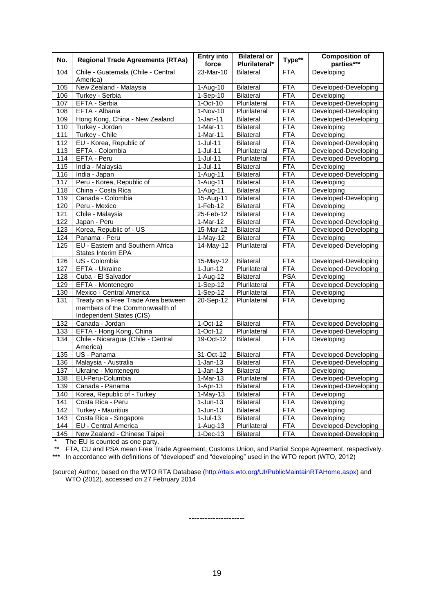| No.        | <b>Regional Trade Agreements (RTAs)</b>                                                           | <b>Entry into</b><br>force | <b>Bilateral or</b><br>Plurilateral* | Type**     | <b>Composition of</b><br>parties*** |
|------------|---------------------------------------------------------------------------------------------------|----------------------------|--------------------------------------|------------|-------------------------------------|
| 104        | Chile - Guatemala (Chile - Central<br>America)                                                    | 23-Mar-10                  | <b>Bilateral</b>                     | <b>FTA</b> | Developing                          |
|            | New Zealand - Malaysia                                                                            |                            |                                      | <b>FTA</b> | Developed-Developing                |
| 105<br>106 |                                                                                                   | 1-Aug-10<br>$1-Sep-10$     | <b>Bilateral</b><br><b>Bilateral</b> | <b>FTA</b> |                                     |
|            | Turkey - Serbia<br>EFTA - Serbia                                                                  |                            | Plurilateral                         | <b>FTA</b> | Developing                          |
| 107        |                                                                                                   | $1-Oct-10$                 | Plurilateral                         |            | Developed-Developing                |
| 108        | EFTA - Albania                                                                                    | $1-Nov-10$                 |                                      | <b>FTA</b> | Developed-Developing                |
| 109        | Hong Kong, China - New Zealand                                                                    | $1-Jan-11$                 | <b>Bilateral</b>                     | <b>FTA</b> | Developed-Developing                |
| 110        | Turkey - Jordan                                                                                   | $1-Mar-11$                 | <b>Bilateral</b>                     | <b>FTA</b> | Developing                          |
| 111        | Turkey - Chile                                                                                    | $1-Mar-11$                 | <b>Bilateral</b>                     | <b>FTA</b> | Developing                          |
| 112        | EU - Korea, Republic of                                                                           | $1-Jul-11$                 | <b>Bilateral</b>                     | <b>FTA</b> | Developed-Developing                |
| 113        | EFTA - Colombia                                                                                   | $\overline{1}$ -Jul-11     | Plurilateral                         | <b>FTA</b> | Developed-Developing                |
| 114        | EFTA - Peru                                                                                       | $1-Jul-11$                 | Plurilateral                         | <b>FTA</b> | Developed-Developing                |
| 115        | India - Malaysia                                                                                  | $1-Jul-11$                 | Bilateral                            | <b>FTA</b> | Developing                          |
| 116        | India - Japan                                                                                     | 1-Aug-11                   | Bilateral                            | <b>FTA</b> | Developed-Developing                |
| 117        | Peru - Korea, Republic of                                                                         | $1-Aug-11$                 | <b>Bilateral</b>                     | <b>FTA</b> | Developing                          |
| 118        | China - Costa Rica                                                                                | $1-Aug-11$                 | <b>Bilateral</b>                     | <b>FTA</b> | Developing                          |
| 119        | Canada - Colombia                                                                                 | 15-Aug-11                  | <b>Bilateral</b>                     | <b>FTA</b> | Developed-Developing                |
| 120        | Peru - Mexico                                                                                     | $1-Feb-12$                 | <b>Bilateral</b>                     | <b>FTA</b> | Developing                          |
| 121        | Chile - Malaysia                                                                                  | 25-Feb-12                  | <b>Bilateral</b>                     | <b>FTA</b> | Developing                          |
| 122        | Japan - Peru                                                                                      | 1-Mar-12                   | <b>Bilateral</b>                     | <b>FTA</b> | Developed-Developing                |
| 123        | Korea, Republic of - US                                                                           | $15-Mar-12$                | <b>Bilateral</b>                     | <b>FTA</b> | Developed-Developing                |
| 124        | Panama - Peru                                                                                     | $1-May-12$                 | <b>Bilateral</b>                     | <b>FTA</b> | Developing                          |
| 125        | EU - Eastern and Southern Africa<br>States Interim EPA                                            | 14-May-12                  | Plurilateral                         | <b>FTA</b> | Developed-Developing                |
| 126        | US - Colombia                                                                                     | 15-May-12                  | <b>Bilateral</b>                     | <b>FTA</b> | Developed-Developing                |
| 127        | EFTA - Ukraine                                                                                    | $1-Jun-12$                 | Plurilateral                         | <b>FTA</b> | Developed-Developing                |
| 128        | Cuba - El Salvador                                                                                | $1-Aug-12$                 | <b>Bilateral</b>                     | <b>PSA</b> | Developing                          |
| 129        | EFTA - Montenegro                                                                                 | 1-Sep-12                   | Plurilateral                         | <b>FTA</b> | Developed-Developing                |
| 130        | Mexico - Central America                                                                          | $1-Sep-12$                 | Plurilateral                         | <b>FTA</b> | Developing                          |
| 131        | Treaty on a Free Trade Area between<br>members of the Commonwealth of<br>Independent States (CIS) | 20-Sep-12                  | Plurilateral                         | <b>FTA</b> | Developing                          |
| 132        | Canada - Jordan                                                                                   | 1-Oct-12                   | <b>Bilateral</b>                     | <b>FTA</b> | Developed-Developing                |
| 133        | EFTA - Hong Kong, China                                                                           | $1-Oct-12$                 | Plurilateral                         | <b>FTA</b> | Developed-Developing                |
| 134        | Chile - Nicaragua (Chile - Central<br>America)                                                    | 19-Oct-12                  | <b>Bilateral</b>                     | <b>FTA</b> | Developing                          |
| 135        | $\overline{US}$ - Panama                                                                          | 31-Oct-12                  | <b>Bilateral</b>                     | <b>FTA</b> | Developed-Developing                |
| 136        | Malaysia - Australia                                                                              | $\overline{1}$ -Jan-13     | <b>Bilateral</b>                     | <b>FTA</b> | Developed-Developing                |
| 137        | Ukraine - Montenegro                                                                              | $1-Jan-13$                 | <b>Bilateral</b>                     | <b>FTA</b> | Developing                          |
| 138        | EU-Peru-Columbia                                                                                  | 1-Mar-13                   | Plurilateral                         | <b>FTA</b> | Developed-Developing                |
| 139        | Canada - Panama                                                                                   | $1-Apr-13$                 | <b>Bilateral</b>                     | <b>FTA</b> | Developed-Developing                |
| 140        | Korea, Republic of - Turkey                                                                       | $1-May-13$                 | <b>Bilateral</b>                     | <b>FTA</b> | Developing                          |
| 141        | Costa Rica - Peru                                                                                 | $1-Jun-13$                 | <b>Bilateral</b>                     | <b>FTA</b> | Developing                          |
| 142        | Turkey - Mauritius                                                                                | $1-Jun-13$                 | <b>Bilateral</b>                     | <b>FTA</b> | Developing                          |
| 143        | Costa Rica - Singapore                                                                            | $1-Jul-13$                 | <b>Bilateral</b>                     | <b>FTA</b> | Developing                          |
| 144        | EU - Central America                                                                              | $1-Aug-13$                 | Plurilateral                         | <b>FTA</b> | Developed-Developing                |
| 145        | New Zealand - Chinese Taipei                                                                      | $1-Dec-13$                 | Bilateral                            | <b>FTA</b> | Developed-Developing                |

\* The EU is counted as one party.

\*\* FTA, CU and PSA mean Free Trade Agreement, Customs Union, and Partial Scope Agreement, respectively.

\*\*\* In accordance with definitions of "developed" and "developing" used in the WTO report (WTO, 2012)

(source) Author, based on the WTO RTA Database [\(http://rtais.wto.org/UI/PublicMaintainRTAHome.aspx\)](http://rtais.wto.org/UI/PublicMaintainRTAHome.aspx) and WTO (2012), accessed on 27 February 2014

---------------------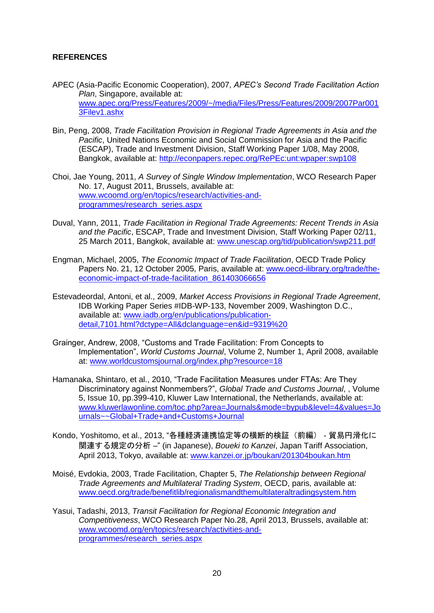# **REFERENCES**

- APEC (Asia-Pacific Economic Cooperation), 2007, *APEC's Second Trade Facilitation Action Plan*, Singapore, available at: [www.apec.org/Press/Features/2009/~/media/Files/Press/Features/2009/2007Par001](http://www.apec.org/Press/Features/2009/~/media/Files/Press/Features/2009/2007Par0013Filev1.ashx) [3Filev1.ashx](http://www.apec.org/Press/Features/2009/~/media/Files/Press/Features/2009/2007Par0013Filev1.ashx)
- Bin, Peng, 2008, *Trade Facilitation Provision in Regional Trade Agreements in Asia and the Pacific*, United Nations Economic and Social Commission for Asia and the Pacific (ESCAP), Trade and Investment Division, Staff Working Paper 1/08, May 2008, Bangkok, available at:<http://econpapers.repec.org/RePEc:unt:wpaper:swp108>
- Choi, Jae Young, 2011, *A Survey of Single Window Implementation*, WCO Research Paper No. 17, August 2011, Brussels, available at: [www.wcoomd.org/en/topics/research/activities-and](http://www.wcoomd.org/en/topics/research/activities-and-programmes/research_series.aspx)[programmes/research\\_series.aspx](http://www.wcoomd.org/en/topics/research/activities-and-programmes/research_series.aspx)
- Duval, Yann, 2011, *Trade Facilitation in Regional Trade Agreements: Recent Trends in Asia and the Pacific*, ESCAP, Trade and Investment Division, Staff Working Paper 02/11, 25 March 2011, Bangkok, available at: [www.unescap.org/tid/publication/swp211.pdf](http://www.unescap.org/tid/publication/swp211.pdf)
- Engman, Michael, 2005, *The Economic Impact of Trade Facilitation*, OECD Trade Policy Papers No. 21, 12 October 2005, Paris, available at: [www.oecd-ilibrary.org/trade/the](http://www.oecd-ilibrary.org/trade/the-economic-impact-of-trade-facilitation_861403066656)[economic-impact-of-trade-facilitation\\_861403066656](http://www.oecd-ilibrary.org/trade/the-economic-impact-of-trade-facilitation_861403066656)
- Estevadeordal, Antoni, et al., 2009, *Market Access Provisions in Regional Trade Agreement*, IDB Working Paper Series #IDB-WP-133, November 2009, Washington D.C., available at: [www.iadb.org/en/publications/publication](http://www.iadb.org/en/publications/publication-detail,7101.html?dctype=All&dclanguage=en&id=9319%20)[detail,7101.html?dctype=All&dclanguage=en&id=9319%20](http://www.iadb.org/en/publications/publication-detail,7101.html?dctype=All&dclanguage=en&id=9319%20)
- Grainger, Andrew, 2008, "Customs and Trade Facilitation: From Concepts to Implementation", *World Customs Journal*, Volume 2, Number 1, April 2008, available at: www.worldcustomsjournal.org/index.php?resource=18
- Hamanaka, Shintaro, et al., 2010, "Trade Facilitation Measures under FTAs: Are They Discriminatory against Nonmembers?", *Global Trade and Customs Journal*, , Volume 5, Issue 10, pp.399-410, Kluwer Law International, the Netherlands, available at: [www.kluwerlawonline.com/toc.php?area=Journals&mode=bypub&level=4&values=Jo](http://www.kluwerlawonline.com/toc.php?area=Journals&mode=bypub&level=4&values=Journals~~Global+Trade+and+Customs+Journal) [urnals~~Global+Trade+and+Customs+Journal](http://www.kluwerlawonline.com/toc.php?area=Journals&mode=bypub&level=4&values=Journals~~Global+Trade+and+Customs+Journal)
- Kondo, Yoshitomo, et al., 2013, "各種経済連携協定等の横断的検証(前編) 貿易円滑化に 関連する規定の分析 –" (in Japanese), *Boueki to Kanzei*, Japan Tariff Association, April 2013, Tokyo, available at: [www.kanzei.or.jp/boukan/201304boukan.htm](http://www.kanzei.or.jp/boukan/201304boukan.htm)
- Moisé, Evdokia, 2003, Trade Facilitation, Chapter 5, *The Relationship between Regional Trade Agreements and Multilateral Trading System*, OECD, paris, available at: [www.oecd.org/trade/benefitlib/regionalismandthemultilateraltradingsystem.htm](http://www.oecd.org/trade/benefitlib/regionalismandthemultilateraltradingsystem.htm)
- Yasui, Tadashi, 2013, *Transit Facilitation for Regional Economic Integration and Competitiveness*, WCO Research Paper No.28, April 2013, Brussels, available at: [www.wcoomd.org/en/topics/research/activities-and](http://www.wcoomd.org/en/topics/research/activities-and-programmes/research_series.aspx)[programmes/research\\_series.aspx](http://www.wcoomd.org/en/topics/research/activities-and-programmes/research_series.aspx)